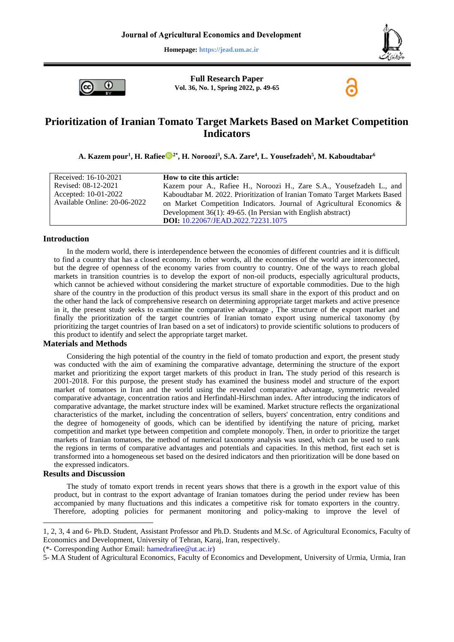**Homepage: https://jead.um.ac.ir**





**Full Research Paper Vol. 36, No. 1, Spring 2022, p. 49-65**

# **Prioritization of Iranian Tomato Target Markets Based on Market Competition Indicators**

**A. Kazem pour 1 , H. Rafiee 2\* , H. Noroozi<sup>3</sup> , S.A. Zare<sup>4</sup> , L. Yousefzadeh<sup>5</sup> , M. Kaboudtabar<sup>6</sup>**

| Received: 16-10-2021         | How to cite this article:                                                  |
|------------------------------|----------------------------------------------------------------------------|
| Revised: 08-12-2021          | Kazem pour A., Rafiee H., Noroozi H., Zare S.A., Yousefzadeh L., and       |
| Accepted: 10-01-2022         | Kaboudtabar M. 2022. Prioritization of Iranian Tomato Target Markets Based |
| Available Online: 20-06-2022 | on Market Competition Indicators. Journal of Agricultural Economics $\&$   |
|                              | Development $36(1)$ : 49-65. (In Persian with English abstract)            |
|                              | DOI: 10.22067/JEAD.2022.72231.1075                                         |

#### **Introduction**

In the modern world, there is interdependence between the economies of different countries and it is difficult to find a country that has a closed economy. In other words, all the economies of the world are interconnected, but the degree of openness of the economy varies from country to country. One of the ways to reach global markets in transition countries is to develop the export of non-oil products, especially agricultural products, which cannot be achieved without considering the market structure of exportable commodities. Due to the high share of the country in the production of this product versus its small share in the export of this product and on the other hand the lack of comprehensive research on determining appropriate target markets and active presence in it, the present study seeks to examine the comparative advantage , The structure of the export market and finally the prioritization of the target countries of Iranian tomato export using numerical taxonomy (by prioritizing the target countries of Iran based on a set of indicators) to provide scientific solutions to producers of this product to identify and select the appropriate target market.

## **Materials and Methods**

Considering the high potential of the country in the field of tomato production and export, the present study was conducted with the aim of examining the comparative advantage, determining the structure of the export market and prioritizing the export target markets of this product in Iran**.** The study period of this research is 2001-2018. For this purpose, the present study has examined the business model and structure of the export market of tomatoes in Iran and the world using the revealed comparative advantage, symmetric revealed comparative advantage, concentration ratios and Herfindahl-Hirschman index. After introducing the indicators of comparative advantage, the market structure index will be examined. Market structure reflects the organizational characteristics of the market, including the concentration of sellers, buyers' concentration, entry conditions and the degree of homogeneity of goods, which can be identified by identifying the nature of pricing, market competition and market type between competition and complete monopoly. Then, in order to prioritize the target markets of Iranian tomatoes, the method of numerical taxonomy analysis was used, which can be used to rank the regions in terms of comparative advantages and potentials and capacities. In this method, first each set is transformed into a homogeneous set based on the desired indicators and then prioritization will be done based on the expressed indicators.

## **Results and Discussion**

1

The study of tomato export trends in recent years shows that there is a growth in the export value of this product, but in contrast to the export advantage of Iranian tomatoes during the period under review has been accompanied by many fluctuations and this indicates a competitive risk for tomato exporters in the country. Therefore, adopting policies for permanent monitoring and policy-making to improve the level of

(\*- Corresponding Author [Email: hamedrafiee@ut.ac.ir\)](Email:%20hamedrafiee@ut.ac.ir)

<sup>1, 2, 3, 4</sup> and 6- Ph.D. Student, Assistant Professor and Ph.D. Students and M.Sc. of Agricultural Economics, Faculty of Economics and Development, University of Tehran, Karaj, Iran, respectively.

<sup>5-</sup> M.A Student of Agricultural Economics, Faculty of Economics and Development, University of Urmia, Urmia, Iran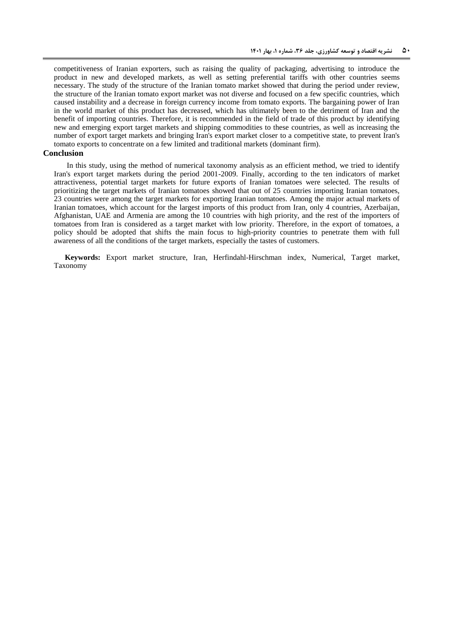competitiveness of Iranian exporters, such as raising the quality of packaging, advertising to introduce the product in new and developed markets, as well as setting preferential tariffs with other countries seems necessary. The study of the structure of the Iranian tomato market showed that during the period under review, the structure of the Iranian tomato export market was not diverse and focused on a few specific countries, which caused instability and a decrease in foreign currency income from tomato exports. The bargaining power of Iran in the world market of this product has decreased, which has ultimately been to the detriment of Iran and the benefit of importing countries. Therefore, it is recommended in the field of trade of this product by identifying new and emerging export target markets and shipping commodities to these countries, as well as increasing the number of export target markets and bringing Iran's export market closer to a competitive state, to prevent Iran's tomato exports to concentrate on a few limited and traditional markets (dominant firm).

### **Conclusion**

In this study, using the method of numerical taxonomy analysis as an efficient method, we tried to identify Iran's export target markets during the period 2001-2009. Finally, according to the ten indicators of market attractiveness, potential target markets for future exports of Iranian tomatoes were selected. The results of prioritizing the target markets of Iranian tomatoes showed that out of 25 countries importing Iranian tomatoes, 23 countries were among the target markets for exporting Iranian tomatoes. Among the major actual markets of Iranian tomatoes, which account for the largest imports of this product from Iran, only 4 countries, Azerbaijan, Afghanistan, UAE and Armenia are among the 10 countries with high priority, and the rest of the importers of tomatoes from Iran is considered as a target market with low priority. Therefore, in the export of tomatoes, a policy should be adopted that shifts the main focus to high-priority countries to penetrate them with full awareness of all the conditions of the target markets, especially the tastes of customers.

**Keywords:** Export market structure, Iran, Herfindahl-Hirschman index, Numerical, Target market, Taxonomy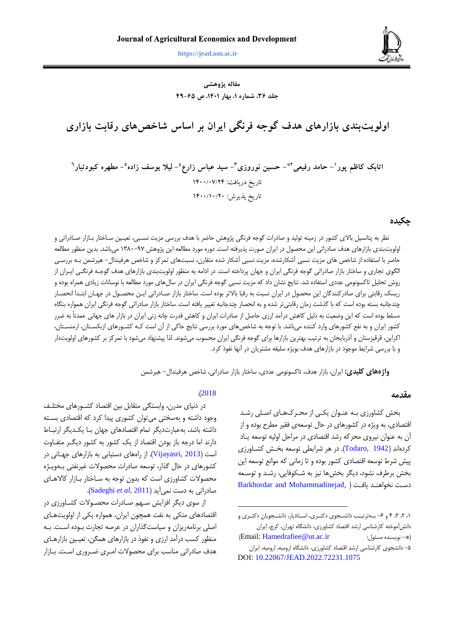

**کاظم پور و همکاران، اولویتبندی بازارهای هدف گوجه فرنگی ایران بر اساس شاخصهای رقابت بازاری 05 https://jead.um.ac.ir**

**مقاله پژوهشی جلد ،63 شماره ،1 بهار ،1041 ص 04-36**

**اولویتبندی بازارهای هدف گوجه فرنگی ایران بر اساس شاخصهای رقابت بازاری** 

**- حامد رفیعی <sup>1</sup> اتابک کاظم پور - حسین نوروزی 2\* - سید عباس زارع <sup>3</sup> 4 - لیال یوسف زاده 5 - مطهره کبودتبار 6** تاریخ دریافت: 0277/70/42 تاریخ پذیرش: 0277/07/47

### **چکیده**

نظر به پتانسیل بالای کشور در زمینه تولید و صادرات گوجه فرنگی پژوهش حاضر با هدف بررسی مزیت نسبی، تعیـین سـاختار بـازار صـادراتی و اولویتبندی بازارهای هدف صادراتی این محصول در ایران صورت پذیرفته است. دوره مورد مطالعه این پژوهش ۹۷-۱۳۸۰ میباشد. بدین منظور مطالعه حاضر با استفاده از شاخص های مزیت نسبی آشکارشده، مزیت نسبی آشکار شده متقارن، نسبتهای تمرکز و شاخص هرفیندال– هیرشمن بـه بررسـی الگوی تجاری و ساختار بازار صادراتی گوجه فرنگی ایران و جهان پرداخته است. در ادامه به منظور اولویتبندی بازارهای هدف گوجـه فرنگـی ایـران از روش تحلیل تاکسونومی عددی استفاده شد. نتایج نشان داد که مزیت نسیی گوجه فرنگی ایران در سالهای مورد مطالیه با نوسانات زیادی همراه بوده و ریسک رقابتی برای صادرکنندگان این محصول در ایران نسبت به رقبا بالاتر بوده است. ساختار بازار صـادراتی ایـن محصـول در جهـان ابتـدا انحصـار چندجانیه بسته بوده است که با گذشت زمان رقابتیتر شده و به انحصار چندجانیه تغییر یافته است. سارتار بازار صادراتی گوجه فرنگی ایران همواره بنگاه مسلط بوده است که ایس وضییت به دلیل کاهش درآمد ارزی حاصل از صادرات ایران و کاهش قدرت چانه زنی ایران در بازار های جهانی عمدتاً به ضرر کشور ایران و به نفع کشورهای وارد کننده میباشد. با توجه به شاخص های مورد بررسی نتایج حاکی از آن است کـه کشـورهای ازبکسـتان، ارمنسـتان، اکرایس قرقیزستان و آذربایجان به ترتیب بهتریس بازارها برای گوجه فرنگی ایران محسوب میشوند. لذا پیشنهاد میشود با تمرکز بر کشورهای اولویتدار و با بررسی شرایط موجود در بازارهای هدف بویژه سلیقه مشتریان در آنها نفوذ کرد.

**واژههای کلیدی:** ایران، بازار هدف، تاکسونومی عددی، ساختار بازار صادراتی، شاخص هرفیندال– هیرشمن

 $\overline{a}$ 

#### **مقدمه**

بخش کشاورزی ببه عنبوان یکبی از محبر هبای اصبلی رشبد اقتصادی به ویژه در کشورهای در حال توسیهی فقیر مطرح بوده و از آن به عنوان نیروی محرکه رشد اقتصادی در مراحل اولیه توسیه یباد کردهاند )[1942 ,Todaro](#page-15-0)). در هر شرایطی توسیه بخبش کشباورزی پیش شرط توسیه اقتصادی کشور بوده و تا زمانی که موانع توسیه ایس بخش برطرف نشود دیگر بخشها نیز به شبکوفایی رشبد و توسبیه دسبت نخواهنبد یافبت [\)](#page-14-0) [,Mohammadinejad and Barkhordar](#page-14-0)

0 2 8 4 و -6 بببهترتیببب دانشببجوی دکتببری اسببتادیار دانشببجویان دکتببری و دانش آموخته کارشناسی ارشد اقتصاد کشاورزی، دانشگاه تهران، کرج، ایران )Email: [Hamedrafiee@ut.ac.ir](mailto:Hamedrafiee@ut.ac.ir) :مسئول نویسنده -)\* -5 دانشجوی کارشناسی ارشد اقتصاد کشاورزی دانشگاه ارومیه ارومیه ایران DOI: [10.22067/JEAD.2022.72231.1075](https://dx.doi.org/10.22067/JEAD.2022.72231.1075)

### .)[2018](#page-14-0)

در دنیای مدرن وابستگی متقابل بیس اقتصاد کشبورهای مختلب وجود داشته و بهسختی میتوان کشوری پیدا کرد که اقتصادی بسبته داشته باشد، بهعبارتدیگر تمام اقتصادهای جهان بـا یکـدیگر ارتبـاط دارند اما درجه باز بودن اقتصاد از یک کشور به کشور دیگبر متفباوت است )[2013 ,Vijayasri](#page-15-1)). از راههای دستیابی به بازارهای جهبانی در کشورهای در حال گذار توسیه صادرات محصوالت غیرنفتی ببه ویب ژه محصولات کشاورزی است که بدون توجه به ساختار بازار کالاهبای صادراتی به دست نمیآید )2011 ,*al et* [Sadeghi](#page-15-2)).

از سوی دیگر افزایش سبه صبادرات محصبوالت کشباورزی در اقتصادهای متکی به نفت همچون ایران همواره یکی از اولویتهبای اصلی برنامهریزان و سیاستگذاران در عرصه تجارت ببوده اسبت. ببه منظور کسب درآمد ارزی و نفوذ در بازارهای همگن، تعیین بازارهبای هدف صادراتی مناسب برای محصوالت امبری ضبروری اسبت. ببازار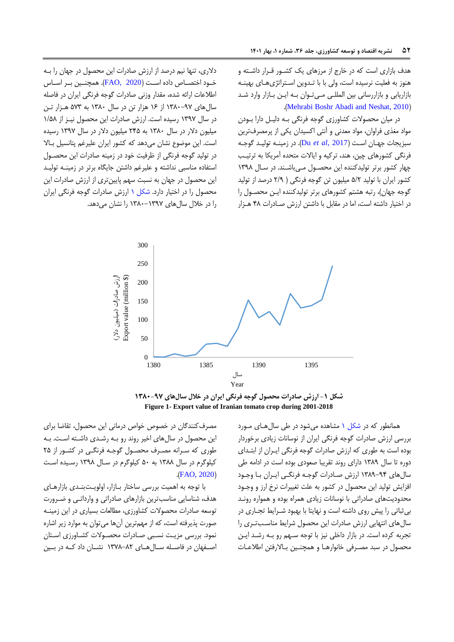هدف بازاری است که در خارج از مرزهای یک کشـور قـرار داشـته و هنوز به فعلیت نرسیده است، ولی با با تـدوین اسـتراتژیهـای بهینـه بازاریابی و بازاررسانی بیس المللبی مبی تبوان ببه ایبس ببازار وارد شبد .([Mehrabi Boshr Abadi and Neshat, 2010](#page-14-1))

در میان محصوالت کشاورزی گوجه فرنگی ببه دلیبل دارا ببودن مواد مغذی فراوان مواد میدنی و آنتی اکسیدان یکی از پرمصرفتریس سیزیجات جهبان اسبت ) [2017 ,](#page-14-2)*al et* Du). در زمینبه تولیبد گوجبه فرنگی کشورهای چیس هند ترکیه و ایاالت متحده آمریکا به ترتیبب چهار کشور برتر تولیدکننده ایس محصبول مبی باشبند. در سبال 0873 کشور ایران با تولید 5/2 میلیون تس گوجه فرنگی ) 2/7 درصد از تولید گوجه جهان)، رتبه هشتم کشورهای برتر تولیدکننده ایـن محصـول را در اختیار داشته است، اما در مقابل با داشتن ارزش صادرات ۴۸ هـزار

دلاری، تنها نیم درصد از ارزش صادرات این محصول در جهان را بـه  $\epsilon$ بود اختصباص داده اسبت (FAO, 2020). همچنبین ببر اسباس اطالعات ارائه شده مقدار وزنی صادرات گوجه فرنگی ایران در فاصله سال های ۹۷-۱۳۸۰ از ۱۶ هزار تن در سال ۱۳۸۰ به ۵۷۳ هبزار تبن در سال 0879 رسیده است. ارزش صادرات ایس محصول نیبز از 0/53 میلیون دالر در سال 0831 به 245 میلیون دالر در سال 0879 رسیده است. این موضوع نشان میدهد که کشور ایران علیرغم پتانسیل بالا در تولید گوجه فرنگی از ظرفیت خود در زمینه صادرات این محصـول استفاده مناسبی نداشته و علیرغم داشتن جایگاه برتر در زمینـه تولیـد این محصول در جهان به نسبت سهم پایینتری از ارزش صادرات این محصول را در اختیار دارد. [شکل](#page-3-0) ۱ ارزش صادرات گوجه فرنگی ایران را در خلال سالهای ۱۳۹۷-۱۳۸۰ را نشان میدهد.



<span id="page-3-0"></span>**شکل -1 ارزش صادرات محصول گوجه فرنگی ایران در خالل سالهای 1831-79 Figure 1- Export value of Iranian tomato crop during 2001-2018**

همانطور که در [شکل](#page-3-0) ۱ مشاهده میشود در طی سال هبای مبورد بررسی ارزش صادرات گوجه فرنگی ایران از نوسانات زیادی برخوردار بوده است به طوری که ارزش صادرات گوجه فرنگی ایبران از ابتبدای دوره تا سال 0837 دارای روند تقرییا صیودی بوده است در ادامه طی سالهای ۹۴-۱۳۸۹ ارزش صادرات گوجه فرنگبی ایبران با وجبود افزایش تولید ایس محصول در کشور به علت تغییرات نرخ ارز و وجبود محدودیتهای صادراتی با نوسانات زیادی همراه بوده و همواره رونبد بیثیاتی را پیش روی داشته است و نهایتا با بهیود شبرایط تجباری در سالهای انتهایی ارزش صادرات ایس محصول شرایط مناسبب تبری را تجربه کرده است. در بازار داخلی نیز با توجه سبهم رو بـه رشـد ایـن محصول در سبد مصرفی خانوارهـا و همچنـین بـالارفتن اطلاعـات

مصرف کنندگان در خصوص خواص درمانی این محصول، تقاضا برای این محصول در سالهای اخیر روند رو بـه رشـدی داشـته اسـت. بـه طوری که سبرانه مصبرف محصبول گوجبه فرنگب ی در کشبور از 25 کیلوگرم در سال ۱۳۸۸ به ۵۰ کیلوگرم در سال ۱۳۹۸ رسبده است  $(FAO, 2020)$  $(FAO, 2020)$  $(FAO, 2020)$ 

با توجه به اهمیت بررسی ساختار بـازار، اولویـتبنـدی بازارهـای هدف شناسایی مناسبتریس بازارهای صادراتی و وارداتبی و ضبرورت توسیه صادرات محصوالت کشاورزی مطالیات بسیاری در ایس زمینبه صورت پذیرفته است، که از مهمترین آنها میتوان به موارد زیر اشاره نمود. بررسی مزیبت نسبیی صبادرات محصبوالت کشباورزی اسبتان اصبفهان در فاصله سبالهبای ۸۲-۱۳۷۸ نشبان داد کبه در ببین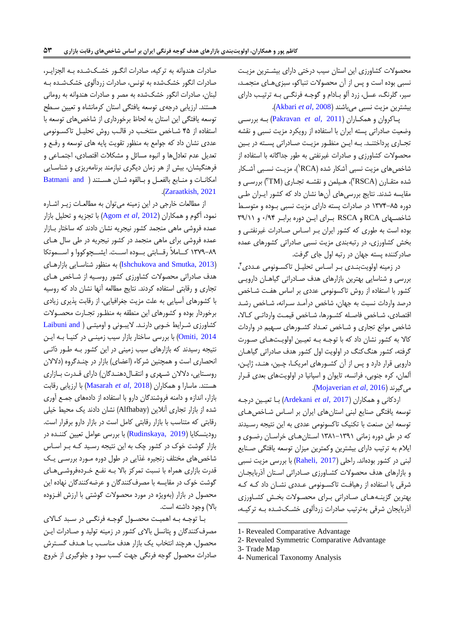محصوالت کشاورزی ایس استان سیب دررتی دارای بیشبتریس مزیبت نسبی بوده است و پس از آن محصولات تنباکو، سبزیهبای منجمـد، سیر، گلرنگ، عسل، زرد آلو بادام و گوجـه فرنگـی بـه ترتیـب دارای بیشتریس مزیت نسیی میباشند )2008 ,*al et* [Akbari](#page-14-4)).

پباکروان و همکباران )2011 ,*al et* [Pakravan](#page-14-5) )ببه بررسببی وضییت صادراتی پسته ایران با استفاده از رویکرد مزیت نسیی و نقشه تجاری پرداختند. به ایـن منظـور مزیـت صـادراتی پسـته در بـین محصوالت کشاورزی و صادرات غیرنفتی به طور جداگانه با استفاده از شاخصهای مزیت نسبی آشکار شده (RCA')، مزیـت نسـبی آشـکار شده متقـارن (RSCA)، هـیلمن و نقشـه تجـاری (TM") بررسـی و مقایسه شدند. نتایج بررسیهای آنها نشان داد که کشور ایبران طبی دوره 0894-35 در صادرات پسته دارای مزیت نسیی ببوده و متوسبط شاخصبهای RCA و RSCA برای این دوره برابر ۰/۹۴ و ۳۹/۱۱ بوده است به طوری که کشور ایران بـر اسـاس صـادرات غیرنفتـی و بخش کشاورزی در رتیهبندی مزیت نسیی صادراتی کشورهای عمده صادرکننده پسته جهان در رتیه اول جای گرفت.

در زمینه اولویتبنـدی بـر اسـاس تحلیـل تاکسـونومی عـددی ٔ ، بررسی و شناسایی بهترین بازارهای هدف صـادراتی گیاهـان دارویـی کشور با استفاده از روش تاکسونومی عددی بر اساس هفت شـاخص درصد واردات نسبت به جهان، شاخص درآمـد سـرانه، شـاخص رشـد اقتصادی، شباخص فاصله کشبورها، شباخص قیمت وارداتبی کبالا، شاخص موانع تجاری و شـاخص تعـداد کشـورهای سـهیم در واردات کالا به کشور نشان داد که با توجه به تعیین اولویتهای صورت گرفته، کشور هنگکنگ در اولویت اول کشور هدف صادراتی گیاهـان دارویی قرار دارد و پس از آن کشورهای امریک)، چبن، هنـد، ژاپـن، آلمان، کره جنوبی، فرانسه، تایوان و اسپانیا در اولویتهای بعدی قـرار .)[Mojaverian](#page-14-6) *et al*, 2016( میگیرند

اردکانی و همکاران )2017 ,*al et* [Ardekani](#page-14-7) )ببا تییبیس درجبه توسعه یافتگی صنایع لبنی استانهای ایران بر اسـاس شـاخص هـای توسیه ایس صنیت با تکنیک تاکسونومی عددی به ایس نتیجه رسبیدند که در طی دوره زمانی 0830-0870 اسبتان هبای رراسبان رضبوی و ایالم به ترتیب دارای بیشتریس وکمتریس میزان توسیه یافتگی صبنایع لبنی در کشور بودهاند. راحلی (Raheli, 2017) با بررسی مزیت نسبی و بازارهای هدف محصولات کشـاورزی صـادراتی اسـتان آذربایجـان شرقی با استفاده از رهیافبت تاکسبونومی عبددی نشبان داد کبه کبه بهترین گزینبه های صادراتی برای محصولات بخش کشاورزی آذربایجان شرقی بهترتیب صادرات زردآلوی خشکشده به ترکیـه،

 $\overline{a}$ 

صادرات هندوانه به ترکیه، صادرات انگـور خشـکشـده بـه الجزایـر، صادرات انگور خشکشده به تونس، صادرات زردآلوی خشکشـده بـه لبنان، صادرات انگور خشکشده به مصر و صادرات هندوانه به رومانی هستند. ارزیابی درجهی توسیه یافتگی استان کرمانشاه و تیییس سبط توسعه یافتگی این استان به لحاظ برخورداری از شاخصهای توسعه با استفاده از ۴۵ شاخص منتخب در قالب روش تحلیل تاکسونومی عددی نشان داد که جوامع به منظور تقویت پایه های توسیه و رفبع و تعدیل عدم تعادلها و انبوه مسائل و مشکلات اقتصادی، اجتمـاعی و فرهنگیشان بیش از هر زمان دیگری نیازمند برنامهریزی و شناسبا یی امکانبات و منبابع بالفیبل و ببالقوه شبان هسبتند [\)](#page-14-8) [and Batmani](#page-14-8) .)[Zaraatkish, 2021](#page-14-8)

از مطالعات خارجی در این زمینه میتوان به مطالعـات زیـر اشـاره نمود آگوم و همکاران )2012 ,*al et* [Agom](#page-14-9) )با تجزیه و تحلیل بازار عمده فروشی ماهی منجمد کشور نیجریه نشان دادند که ساختار بـازار عمده فروشی برای ماهی منجمد در کشور نیجریه در طی سال هبا ی 0897-37 کببامالً رقببابتی بببوده اسببت. ایشببچوکووا و اسببموتکا (Ishchukova and Smutka, 2013) به منظور شناسایی بازارهبای هدف صادراتی محصوالت کشاورزی کشور روسبیه از شبارص هبا ی تجاری و رقابتی استفاده کردند. نتایج مطالیه آنها نشان داد که روسیه با کشورهای آسیایی به علت مزیت جغرافیایی از رقابت پذیری زیادی برروردار بوده و کشورهای ایس منطقه به منظبور تجبارت محصبوالت کشاورزی شرایط خوبی دارند. لایبونی و اومیتی ( Laibuni and [2014 ,Omiti](#page-14-11)) با بررسی ساختار بازار سیب زمینبی در کنیـا بـه ایـن نتیجه رسیدند که بازارهای سیب زمینی در ایس کشور ببه طبور ذاتب ی انحصاری است و همچنین شرکاء (اعضای) بازار در چنـدگروه (دلالان روستایی، دلالان شبهری و انتقبالدهنبدگان) دارای قبدرت ببازاری هستند. ماسارا و همکاران )2018 ,*al et* [Masarah](#page-14-12) )با ارزیابی رقابت بازار اندازه و دامنه فروشندگان دارو با استفاده از دادههای جمبع آوری شده از بازار تجاری آنالیس )Alfhabay )نشان دادند یک محیط ریلی رقابتی که متناسب با بازار رقابتی کامل است در بازار دارو برقرار است. رودینسکایا (Rudinskaya, 2019) با بررسی عوامل تعیین کننـده در بازار گوشت خوک در کشور چک به این نتیجه رسـید کـه بـر اسـاس شاخصهای مختلف زنجیره غذایی در طول دوره مـورد بررسـی یـک قدرت بازاری همراه با نسبت تمرکز بالا بـه نفـع خـردهفروشـیهـای گوشت خوک در مقایسه با مصرفکنندگان و عرضهکنندگان نهاده این محصول در بازار )بهویژه در مورد محصوالت گوشتی با ارزش افبزوده باال( وجود داشته است.

ببا توجبه ببه اهمیبت محصبول گوجبه فرنگبی در سبید کباالی مصرفکنندگان و پتانسل باالی کشور در زمینه تولید و صبادرات ایبس محصول، هرچند انتخاب یک بازار هدف مناسب بـا هـدف گسـترش صادرات محصول گوجه فرنگی جهت کسب سود و جلوگیری از رروج

<sup>1-</sup> Revealed Comparative Advantage

<sup>2-</sup> Revealed Symmetric Comparative Advantage

<sup>3-</sup> Trade Map

<sup>4-</sup> Numerical Taxonomy Analysis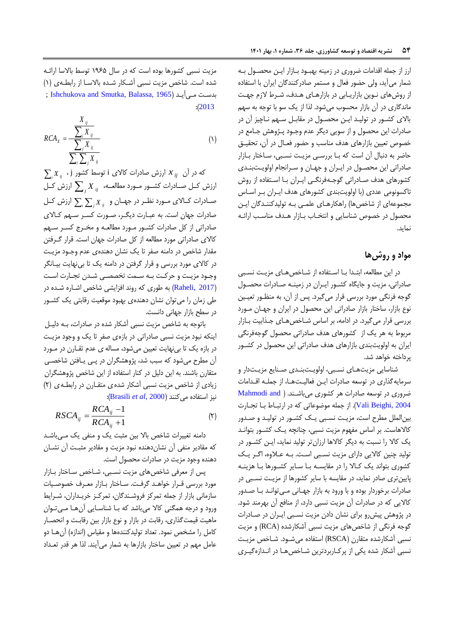ارز از جمله اقدامات ضروری در زمینه بهبود بازار این محصول به شمار میآید ولی حضور فیال و مستمر صادرکنندگان ایران با استفاده از روشهای نبویس بازاریبابی در بازارهبای هبدف شبرط الزم جهبت ماندگاری در آن بازار محسوب میشود. لذا از یک سو با توجه به سه باالی کشبور در تولیبد ایبس محصبول در مقاببل سبه نباچیز آن در صادرات ایس محصول و از سویی دیگر عدم وجبود پبژوهش جبامع در خصوص تعیین بازارهای هدف مناسب و حضور فعـال در آن، تحقیــق حاضر به دنبال آن است که بـا بررسـی مزیـت نسـبی، سـاختار بـازار صادراتی ایس محصبول در ایبران و جهبان و سبرانجام اولویبت بنبدی کشورهای هدف صبادراتی گوجبه فرنگبی ایبران ببا اسبتفاده از روش تاکسونومی عددی (با اولویتبندی کشورهای هدف ایبران ببر اسباس مجموعهای از شاخصها) راهکارهـای علمـی بـه تولیدکننـدگان ایـن محصول در خصوص شناسایی و انتخباب ببازار هبدف مناسب ارائبه نماید.

# **مواد و روشها**

در این مطالعه، ابتـدا بـا اسـتفاده از شـاخصهـای مزیـت نسـبی صادراتی مزیت و جایگاه کشبور ایبران در زمینبه صبادرات محصبول گوجه فرنگی مورد بررسی قرار میگیرد. پس از آن، به منظـور تعیـین نوع بازار، ساختار بازار صادراتی این محصول در ایران و جهبان مبورد بررسی قرار می گیرد. در ادامه، بر اساس شباخص هبای جبذابیت ببازار مربوط به هر یک از کشورهای هدف صادراتی محصول گوجهفرنگی ایران به اولویتبندی بازارهای هدف صادراتی ایس محصول در کشبور پرداخته خواهد شد.

شناسایی مزیتهای نسبی، اولویتبندی صنایع مزیتدار و سرمایهگذاری در توسعه صادرات ایـن فعالیـتهـا، از جملـه اقـدامات ضروری در توسیه صادرات هر کشوری میباشبند. [\)](#page-14-13) [and Mahmodi](#page-14-13) [2004 ,Beighi Vali](#page-14-13)). از جمله موضوعاتی که در ارتیباط ببا تجبارت بیسالملل مطرح است مزیبت نسبیی یبک کشبور در تولیبد و صبدور کالاهاست. بر اساس مفهوم مزیت نسبی، چنانچه یـک کشـور بتوانـد یک کالا را نسبت به دیگر کالاها ارزانتر تولید نماید، ایـن کشـور در تولید چنیس کاالیی دارای مزیت نسبیی اسبت. ببه عبالوه اگبر یبک کشوری بتواند یک کباال را در مقایسبه ببا سبایر کشبورها ببا هزینبه پاییستری صادر نماید در مقایسه با سایر کشورها از مزیبت نسبیی در صادرات برخوردار بوده و با ورود به بازار جهـانی مـی توانـد بـا صـدور کاالیی که در صادرات آن مزیت نسیی دارد از منافع آن بهرمند شود. در پژوهش پیشرو برای نشان دادن مزیت نسبیی ایبران در صبادرات گوجه فرنگی از شاخصهای مزیت نسبی آشکارشده (RCA) و مزیت نسبی آشکارشده متقارن (RSCA) استفاده میشود. شباخص مزیبت نسیی آشکار شده یکی از پرکباربردتریس شبارص هبا در انبدازه گیبری

مزیت نسیی کشورها بوده است که در سال 0765 توسط باالسا ارائبه شده است. شاخص مزیت نسبی آشکار شده بالاسا از رابطهی (۱) بدست می آید (1965 , Ishchukova and Smutka, Balassa,  $:(2013)$  $:(2013)$  $:(2013)$ 

*X*

$$
RCA_x = \frac{\frac{A_{ij}}{\sum_i X_{ij}}}{\frac{\sum_i X_{ij}}{\sum_i \sum_j X_{ij}}}
$$
 (1)

 $\sum_i X_{ij}$  در آن  $\; X_{ij} \;$  ارزش صادرات کالای i توسط کشور j ، م رزش کــل صــادرات کشــور مــورد مطالعــه،  $\sum_{j} X_{\;ij}$  ارزش کــل صـادرات کـالای مـورد نظـر در جهـان و  $\sum_i \sum_j X_{ij}$  ارزش کـل صادرات جهان است. به عیبارت دیگبر صبورت کسبر سبه کباالی صادراتی از کل صادرات کشبور مبورد مطالیبه و مخبرج کسبر سبه کاالی صادراتی مورد مطالیه از کل صادرات جهان است. قرار گبرفتس مقدار شاخص در دامنه صفر تا یک نشان دهندهی عدم وجبود مزیت در کاالی مورد بررسی و قرار گرفتس در دامنه یک تا بینهایت بیبانگر وجبود مزیبت و حرکبت ببه سبمت تخصصبی شبدن تجبارت اسبت )[2017 ,Raheli](#page-15-3) )به طوری که روند افزایشی شارص اشباره شبده در طی زمان را میتوان نشان دهندهی بهیود موقییت رقابتی یک کشبور در سطح بازار جهانی دانست.

باتوجه به شاخص مزیت نسبی آشکار شده در صادرات، بـه دلیبل اینکه نیود مزیت نسیی صادراتی در بازهی صفر تا یک و وجود مزیب ت در بازه یک تا بینهایت تعیین میشود، مساله ی عدم تقبارن در مبورد آن مطرح میشود که سبب شد، پژوهشگران در پـی یــافتن شاخصــی متقارن باشند. به ایس دلیل در کنار استفاده از ایس شارص پژوهشگران زیادی از شاخص مزیت نسبی آشکار شده ی متقارن در رابطه ی (۲) نیز استفاده میکنند )2000 ,*al et* [Brasili](#page-14-15)):

$$
RSCA_{ij} = \frac{RCA_{ij} - 1}{RCA_{ij} + 1} \tag{Y}
$$

دامنه تغییرات شاخص بالا بین مثبت یک و منفی یک مبی باشد که مقادیر منفی آن نشاندهنده نیود مزیت و مقادیر مثیبت آن نشبان دهنده وجود مزیت در صادرات محصول است.

پس از معرفی شاخصهای مزیت نسبی، شـاخص سـاختار بـازار مورد بررسی قبرار خواهد گرفت. ساختار بازار معرف خصوصيات سازمانی بازار از جمله تمرکز فروشندگان، تمرکز خریـداران، شـرایط ورود و درجه همگنی کاال میباشد که ببا شناسبایی آن هبا مبی تبوان ماهیت قیمت گذاری، رقابت در بازار و نوع بازار بین رقابـت و انحصــار کامل را مشخص نمود. تعداد تولیدکنندهها و مقیاس (اندازه) آن هـا دو عامل مهم در تعیین ساختار بازارها به شمار میآیند. لذا هر قدر تعداد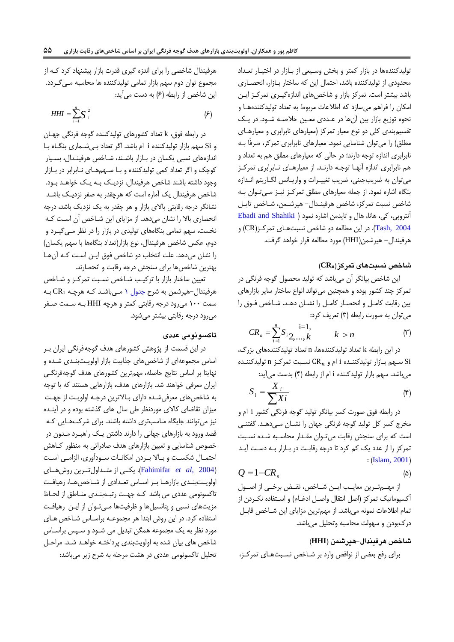تولیدکنندهها در بازار کمتر و بخش وسبعی از بازار در اختیار تعداد محدودی از تولیدکننده باشد، احتمال این که ساختار بازار، انحصاری باشد بیشتر است. تمرکز بازار و شارصهای اندازهگیبری تمرکبز ایبس امکان را فراهم میسازد که اطلاعات مربوط به تعداد تولیدکنندههـا و نحوه توزیع بازار بین آنها در عددی معین خلاصه شبود. در یک تقسیم بندی کلی دو نوع معیار تمرکز (معیارهای نابرابری و معیارهبای مطلق) را میتوان شناسایی نمود. معیارهای نابرابری تمرکز، صرفًا بـه نابرابری اندازه توجه دارند؛ در حالی که معیارهای مطلق هم به تعداد و ه نابرابری اندازه آنهبا توجبه دارنبد. از مییارهبای نبابرابری تمرکبز میتوان به ضریبجینی، ضریب تغییـرات و واریـانس لگـاریتم انـدازه بنگاه اشاره نمود. از جمله معیارهای مطلق تمرکز نیبز مبی تبوان ببه شاخص نسبت تمرکز، شاخص هرفینـدال- هیرشـمن، شـاخص تایـل آنتروپی کی هانا هال و تایدمس اشاره نمود [\)](#page-14-16) [Shahiki and Ebadi](#page-14-16) [2004 ,Tash](#page-14-16)). در ایس مطالیه دو شارص نسیتهبای تمرکبز) CR )و هرفیندال- هیرشمس)HHI )مورد مطالیه قرار رواهد گرفت.

# **شاخص نسبتهاي تمرکز)CRn)**

ایس شارص بیانگر آن میباشد که تولید محصول گوجه فرنگی در تمرکز چند کشور بوده و همچنیس میتواند انواع سارتار سایر بازارهای بین رقابت کامل و انحصار کامل را نشبان دهبد. شاخص فبوق را می توان به صورت رابطه (۳) تعریف کرد:

$$
CR_n = \sum_{i=1}^{n} S_i \sum_{i=1}^{i=1} k, \qquad k > n
$$
 (7)

در ایس رابطه k تیداد تولیدکنندهها n تیداد تولیدکنندههای بزرگ سبهم بـازار تولیدکننـده i ام و  $\operatorname{CR}_n$  نسـبت تمرکـز n تولیدکننـده  $\operatorname{Si}$ میباشد. سهم بازار تولیدکننده i ام از رابطه (۴) بدست میآید:

$$
S_i = \frac{X_i}{\sum X_i}
$$
 (5)

در رابطه فو صورت کسر بیانگر تولید گوجه فرنگی کشور i ام و مخرج کسر کل تولید گوجه فرنگی جهان را نشبان مب یدهبد . گفتنب ی است که برای سنجش رقابت میتبوان مقبدار محاسبیه شبده نسبیت تمرکز را از عدد یک کم کرد تا درجه رقابت در بـازار بـه دسـت آیـد  $: (Islam, 2001)$  $: (Islam, 2001)$  $: (Islam, 2001)$ 

$$
Q = 1 - CR_n \tag{a}
$$

از مهمهترین معایب ایـن شـاخص، نقـض برخـی از اصـول آکسیوماتیک تمرکز (اصل انتقال واصـل ادغــام) و اســتفاده نکــردن از تمام اطلاعات نمونه میباشد. از مهمترین مزایای این شـاخص قابـل در بودن و سهولت محاسیه وتحلیل میباشد.

**شاخص هرفیندال-هیرشمن )HHI)**

برای رفع بیضی از نواقص وارد بر شبارص نسبیت هبای تمرکبز

هرفیندال شارصی را برای اندزه گیری قدرت بازار پیشنهاد کرد کبه از مجموع توان دوم سهم بازار تمامی تولیدکننده ها محاسبه مـی گـردد. این شاخص از رابطه (۶) به دست میآید:

$$
HHI = \sum_{i=1}^{n} S_i^2 \tag{5}
$$

در رابطه فوق، k تعداد کشورهای تولیدکننده گوجه فرنگی جهبان و Si سهم بازار تولیدکننده i ام باشد. اگر تعداد به شهاری بنگاه با اندازههای نسبی یکسان در بازار باشند، شاخص هرفیندال، بسبار کوچک و اگر تعداد کمی تولیدکننده و بـا سـهمهـای نـابرابر در بـازار وجود داشته باشند شاخص هرفیندال، نزدیک بـه یـک خواهـد بـود. شاخص هرفیندال یک آماره است که هرچقدر به صفر نزدیـک باشـد نشانگر درجه رقابتی باالی بازار و هر چقدر به یک نزدیک باشد درجه انحصاری باال را نشان میدهد. از مزایای ایس شبارص آن اسبت کبه نخست، سهم تمامی بنگاههای تولیدی در بازار را در نظر مبی گیبرد و دوم، عکس شاخص هرفیندال، نوع بازار(تعداد بنگاهها با سهم یکسان) را نشان میدهد. علت انتخاب دو شاخص فوق ایـن اسـت کـه آن هـا بهتریس شارصها برای سنجش درجه رقابت و انحصارند.

تعیین ساختار بازار با ترکیب شـاخص نسـبت تمرکـز و شـاخص هرفیندال-هیرشمس به شرح [جدول 0](#page-7-0) مبی باشبد کبه هرچبه 1CR ببه سمت 011 میرود درجه رقابتی کمتر و هرچه HHI ببه سبمت صبفر میرود درجه رقابتی بیشتر میشود.

## **تاکسونومی عددي**

در ایس قسمت از پژوهش کشورهای هدف گوجهفرنگی ایران ببر اساس مجموعهای از شاخصهای جذابیت بازار اولویـتبنـدی شـده و نهایتا بر اساس نتایج حاصله، مهمترین کشورهای هدف گوجهفرنگبی ایران معرفی خواهند شد. بازارهای هدف، بازارهایی هستند که با توجه به شاخص های معرفی شده دارای بالاترین درجه اولویت از جهت میزان تقاضای کاالی موردنظر طی سال های گذشته بوده و در آینبده نیز میتوانند جایگاه مناسبتری داشته باشند. برای شرکتهبایی کبه قصد ورود به بازارهای جهانی را دارند داشتس یبک راهیبرد مبدون در خصوص شناسایی و تعیین بازارهای هدف صادراتی به منظور کاهش احتمـال شکسـت و بـالا بـردن امکانـات سـودآوری، الزامـی اسـت )2004 ,*al et* [Fahimifar](#page-14-18)). یکببی از متببداولتببریس روشهببای اولویتبندی بازارها بر اساس تعدادی از شاخصها، رهیافت تاکسونومی عددی می باشد کبه جهت رتبهبندی مناطق از لحاظ مزیتهای نسیی و پتانسیلها و ظرفیتها مب یتبوان از ایبس رهیافبت استفاده کرد. در این روش ابتدا هر مجموعـه براسـاس شـاخص هـای مورد نظر به یک مجموعه همگن تبدیل می شـود و سـپس براسـاس شاخص های بیان شده به اولویتبندی پرداختـه خواهـد شـد. مراحـل تحلیل تاکسونومی عددی در هشت مرحله به شرح زیر میباشد: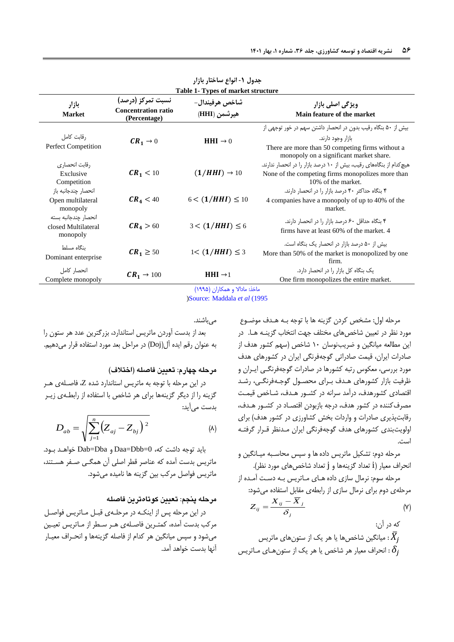| Table 1- Types of market structure                      |                                                                 |                                |                                                                                                                                                                                   |  |  |
|---------------------------------------------------------|-----------------------------------------------------------------|--------------------------------|-----------------------------------------------------------------------------------------------------------------------------------------------------------------------------------|--|--|
| بازار<br><b>Market</b>                                  | نسبت تمرکز (درصد)<br><b>Concentration ratio</b><br>(Percentage) | شاخص هرفيندال-<br>هيرشمن (HHI) | ویژگ <i>ی</i> اصلی بازار<br>Main feature of the market                                                                                                                            |  |  |
| رقابت كامل<br>Perfect Competition                       | $CR_1 \rightarrow 0$                                            | <b>HHI</b> $\rightarrow$ 0     | بیش از ۵۰ بنگاه رقیب بدون در انحصار داشتن سهم در خور توجهی از<br>بازار وجود دارند.<br>There are more than 50 competing firms without a<br>monopoly on a significant market share. |  |  |
| رقابت انحصار ی<br>Exclusive<br>Competition              | $CR_1 < 10$                                                     | $(1/HHI) \rightarrow 10$       | هیچ کدام از بنگاههای رقیب، بیش از ۱۰ درصد بازار را در انحصار ندارند.<br>None of the competing firms monopolizes more than<br>10% of the market.                                   |  |  |
| انحصار چندجانبه باز<br>Open multilateral<br>monopoly    | $CR_4 < 40$                                                     | $6 < (1/HHI) \le 10$           | ۴ بنگاه حداکثر ۴۰ درصد بازار را در انحصار دارند.<br>4 companies have a monopoly of up to 40% of the<br>market.                                                                    |  |  |
| انحصار جندجانبه بسته<br>closed Multilateral<br>monopoly | $CR_4 > 60$                                                     | $3 < (1/HHI) \le 6$            | ۴ بنگاه حداقل ۶۰ درصد بازار را در انحصار دارند.<br>firms have at least 60% of the market. 4                                                                                       |  |  |
| ىنگاە مسلط<br>Dominant enterprise                       | $CR_1 \geq 50$                                                  | $1 < (1/HHI) \leq 3$           | بیش از ۵۰ درصد بازار در انحصار یک بنگاه است.<br>More than 50% of the market is monopolized by one<br>firm.                                                                        |  |  |
| انحصار كامل<br>Complete monopoly                        | $CR_1 \rightarrow 100$                                          | <b>HHI</b> $\rightarrow$ 1     | یک بنگاه کل بازار را در انحصار دارد.<br>One firm monopolizes the entire market.                                                                                                   |  |  |

<span id="page-7-0"></span>**جدول -1 انواع ساختار بازار**

ماخذ: مادالا و همکاران (١٩٩۵)

[\)S](#page-14-19)ource: [Maddala](#page-14-19) *et al* (1995

مے باشند.

بید از بدست آوردن ماتریس استاندارد بزرگتریس عدد هر ستون را به عنوان رقم ایده آل(Doj) در مراحل بعد مورد استفاده قرار میدهیم.

### **مرحله چهارم: تعیین فاصله )اختالف(**

در ایس مرحله با توجه به ماتریس استاندارد شده Z فاصبله ی هبر گزینه را از دیگر گزینهها برای هر شاخص با استفاده از رابطهی زیبر بدست میآید:

$$
D_{ab} = \sqrt{\sum_{j=1}^{n} (Z_{aj} - Z_{bj})^2}
$$
 (A)

باید توجه داشت که 0=Dbb=Daa و Dba=Dab رواهبد ببود. ماتریس بدست آمده که عناصر قطر اصلی آن همگبی صبفر هسبتند ماتریس فواصل مرکب بیس گزینه ها نامیده میشود.

# **مرحله پنجم: تعیین کوتاهترين فاصله**

در این مرحله پس از اینکه در مرحلهی قبل مباتریس فواصل مرکب بدست آمده، کمتـرین فاصـلهى هـر سـطر از مـاتریس تعیـین میشود و سپس میانگیس هر کدام از فاصله گزینهها و انحبراف مییبار آنها بدست خواهد آمد.

مرحله اول: مشخص کردن گزینه ها با توجه ببه هبدف موضبوع مورد نظر در تعیین شاخصهای مختلف جهت انتخاب گزینـه هـا. در این مطالعه میانگین و ضریبنوسان ۱۰ شاخص (سهم کشور هدف از صادرات ایران قیمت صادراتی گوجهفرنگی ایران در کشورهای هدف مورد بررسی، معکوس رتبه کشورها در صادرات گوجهفرنگـی ایــران و ظرفیت بازار کشورهای هبدف ببرای محصبول گوجبه فرنگبی رشبد اقتصادی کشورهدف، درآمد سرانه در کشور هـدف، شـاخص قیمـت مصرف کننده در کشور هدف، درجه بازبودن اقتصـاد در کشـور هـدف، رقابتپذیری صادرات و واردات بخش کشاورزی در کشور هدف( برای اولویتبندی کشورهای هدف گوجهفرنگی ایران مبدنظر قبرار گرفتبه است.

مرحله دوم: تشکیل ماتریس دادهها و سپس محاسبیه میبانگیس و انحراف معیار (i تعداد گزینهها و j تعداد شاخصهای مورد نظر).

مرحله سوم: نرمال سازی دادههبای مباتریس ببه دسبت آمبده از مرحلهی دوم برای نرمال سازی از رابطهی مقابل استفاده میشود:

$$
Z_{ij} = \frac{X_{ij} - \overline{X}_j}{\delta_j} \tag{V}
$$

که در ان:  
، چانگین شاخصها یا هر یک از ستونهای ماتریس  
۶
$$
\delta_j
$$
 : انحراف معیار هر شاخص یا هر یک از ستونهای ماتریس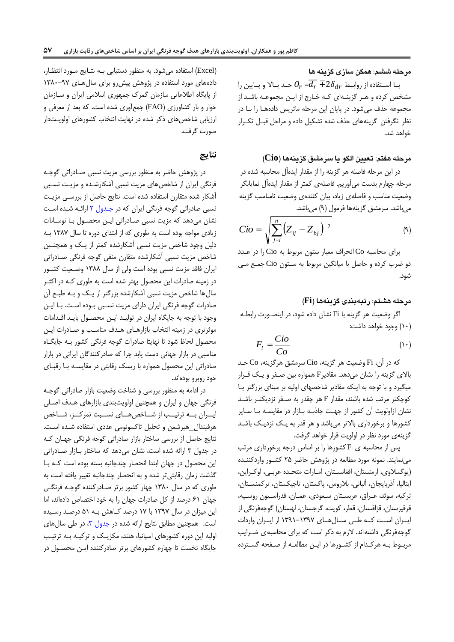**مرحله ششم: همگن سازي گزينه ها**

با اســتفاده از روابــط  $\overline{d_r} \mp 2 \delta_{dr}$  حــد بــالا و پــایین را مشخص کرده و هـر گزینـهای کـه خـارج از ایـن مجموعـه باشـد از مجموعه حذف میشود. در پایان ایس مرحله ماتریس دادههبا را ببا در نظر نگرفتس گزینههای حذف شده تشکیل داده و مراحل قیبل تکبرار خواهد شد.

### **مرحله هفتم: تعیین الگو يا سرمشق گزينهها )Cio)**

در ایس مرحله فاصله هر گزینه را از مقدار ایدهآل محاسیه شده در مرحله چهارم بدست میآوریم. فاصلهی کمتر از مقدار ایدهآل نمایانگر وضییت مناسب و فاصلهی زیاد بیان کنندهی وضییت نامناسب گزینه میباشد. سرمشق گزینهها فرمول (۹) میباشد.

$$
Cio = \sqrt{\sum_{j=i}^{n} (Z_{ij} - Z_{bj})^{2}}
$$
 (4)

برای محاسیه Co انحراف مییار ستون مربوط به Cio را در عبدد دو ضرب کرده و حاصل با میانگیس مربوط به سبتون Cio جمبع مبی شود.

### **مرحله هشتم: رتبهبندي گزينهها )Fi)**

اگر وضییت هر گزینه با Fi نشان داده شود در اینصبورت رابطبه )01( وجود رواهد داشت:

$$
F_i = \frac{Cio}{Co}
$$
 (1)

که در آن، Fi وضعیت هر گزینه، Cio سرمشق هرگزینه، Co حـد باالی گزینه را نشان میدهد. مقادیرF همواره بیس صبفر و یبک قبرار میگیرد و با توجه به اینکه مقادیر شاخصهای اولیه بر مبنای بزرگتر یبا کوچکتر مرتب شده باشند مقدار F هر چقدر به صبفر نزدیکتبر باشبد نشان ازاولویت آن کشور از جهت جاذبـه بـازار در مقایسـه بـا سـایر کشورها و برخورداری بالاتر میباشد و هر قدر به یـک نزدیـک باشـد گزینهی مورد نظر در اولویت قرار رواهد گرفت.

پس از محاسبه ی  $F_i$ کشورها را بر اساس درجه برخورداری مرتب مینمایند. نمونه مورد مطالیه در پژوهش حاضر 25 کشبور واردکننبده (یوگسلاوی، ارمنستان، افغانستان، امبارات متحده عرببی، اوکراین، ایتالیا، آذربایجان، آلبانی، بلاروس، پاکستان، تاجیکستان، ترکمنستان، ترکیه، سوئد، عـراق، عربسـتان سـعودی، عمـان، فدراسـيون روسـيه، قرقیزستان، قزاقستان، قطر، کویت، گرجستان، لهستان) گوجهفرنگی از ایببران اسببت کببه طببی سببال هببای 0870-0879 از ایببران واردات گوجهفرنگی داشتهاند. لازم به ذکر است که برای محاسبه ی ضـرایب مرببوط ببه هرکبدام از کشبورها در ایبس مطالیبه از صبفحه گسبترده

)Excel )استفاده میشود. به منظور دستیابی ببه نتبایج مبورد انتظبار دادههای مورد استفاده در پژوهش پیشررو برای سال هبای ۹۷-۱۳۸۰ از پایگاه اطالعاتی سازمان گمر جمهوری اسالمی ایران و سبازمان روار و بار کشاورزی )FAO )جمعآوری شده است. که بید از میرفی و ارزیابی شاخصهای ذکر شده در نهایت انتخاب کشورهای اولویتدار صورت گرفت.

# **نتایج**

در پژوهش حاضر به منظور بررسی مزیت نسیی صبادراتی گوجبه فرنگی ایران از شارصهای مزیت نسیی آشکارشبده و مزیبت نسبیی آشکار شده متقارن استفاده شده است. نتایج حاصل از بررسبی مزیبت نسیی صادراتی گوجه فرنگی ایران که در [جبدول 2](#page-9-0) ارائبه شبده اسبت نشان میدهد که مزیت نسیی صبادراتی ایبس محصبول ببا نوسبانات زیادی مواجه بوده است به طوری که از ابتدای دوره تا سال 0839 ببه دلیل وجود شارص مزیت نسیی آشکارشده کمتر از یبک و همچنبیس شاخص مزیت نسبی آشکارشده متقارن منفی گوجه فرنگی صـادراتی ایران فاقد مزیت نسیی بوده است ولی از سال 0833 وضبییت کشبور در زمینه صادرات ایس محصول بهتر شده است به طوری کبه در اکثبر سالها شارص مزیت نسیی آشکارشده بزرگتر از یبک و ببه طیبع آن صادرات گوجه فرنگی ایران دارای مزیت نسبیی ببوده اسبت. ببا ایبس وجود با توجه به جایگاه ایران در تولیـد ایـن محصـول بایـد اقـدامات موثرتری در زمینه انتخاب بازارهبای هبدف مناسبب و صبادرات ایبس محصول لحاظ شود تا نهایتا صادرات گوجه فرنگی کشور ببه جایگباه مناسیی در بازار جهانی دست یابد چرا که صادرکنندگان ایرانی در بازار صادراتی ایس محصول همواره با ریسک رقابتی در مقایسبه ببا رقیبای رود روبرو بودهاند.

در ادامه به منظور بررسی و شناخت وضعیت بازار صادراتی گوجـه فرنگی جهان و ایران و همچنیس اولویتبندی بازارهای هبدف اصبلی ایبران ببه ترتیب از شباخص هبای نسببت تمرکبز، شباخص هرفیندال\_هیرشمس و تحلیل تاکسونومی عددی استفاده شبده اسبت. نتایج حاصل از بررسی ساختار بازار صادراتی گوجه فرنگی جهبان ک در جدول 8 ارائه شده است نشان میدهد که سارتار ببازار صبادراتی ایس محصول در جهان ابتدا انحصار چندجانیه بسته بوده است کبه ببا گذشت زمان رقابتیتر شده و به انحصار چندجانیه تغییر یافته است به طوری که در سال 0831 چهار کشور برتر صبادرکننده گوجبه فرنگبی جهان ۶۱ درصد از کل صادرات جهان را به خود اختصاص دادهاند، اما ایس میزان در سال 0879 با 09 درصد کباهش ببه 50 درصبد رسبیده است. همچنین مطابق نتایج ارائه شده در جدول ۳، در طی سال های اولیه این دوره کشورهای اسپانیا، هلند، مکزیـک و ترکیـه بـه ترتیـب جایگاه نخست تا چهارم کشورهای برتر صادرکننده ایبن محصبول در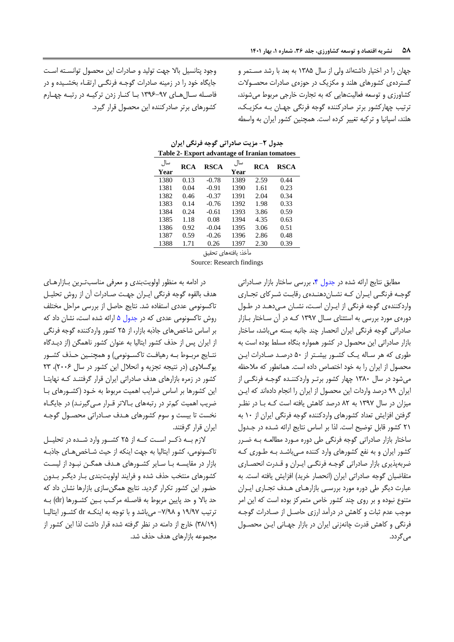وجود پتانسیل باال جهت تولید و صادرات ایس محصول توانسبته اسبت جایگاه خود را در زمینه صادرات گوجـه فرنگـی ارتقـاء بخشـیده و در فاصبله سبالهبای 0876-79 ببا کنبار زدن ترکیبه در رتیبه چهبارم کشورهای برتر صادرکننده ایس محصول قرار گیرد. جهان را در اختیار داشتهاند ولی از سال ۱۳۸۵ به بعد با رشد مستمر و گستردهی کشورهای هلند و مکزیک در حوزهی صادرات محصبوالت کشاورزی و توسعه فعالیتهایی که به تجارت خارجی مربوط میشوند، ترتیب چهارکشور برتر صادرکننده گوجه فرنگی جهبان ببه مکزیبک هلند، اسپانیا و ترکیه تغییر کرده است. همچنین کشور ایران به واسطه

| Table 2- Export auvantage of Haman tomatoes |            |             |             |      |             |  |
|---------------------------------------------|------------|-------------|-------------|------|-------------|--|
| سال<br>Year                                 | <b>RCA</b> | <b>RSCA</b> | سال<br>Year | RCA  | <b>RSCA</b> |  |
| 1380                                        | 0.13       | $-0.78$     | 1389        | 2.59 | 0.44        |  |
| 1381                                        | 0.04       | $-0.91$     | 1390        | 1.61 | 0.23        |  |
| 1382                                        | 0.46       | $-0.37$     | 1391        | 2.04 | 0.34        |  |
| 1383                                        | 0.14       | $-0.76$     | 1392        | 1.98 | 0.33        |  |
| 1384                                        | 0.24       | $-0.61$     | 1393        | 3.86 | 0.59        |  |
| 1385                                        | 1.18       | 0.08        | 1394        | 4.35 | 0.63        |  |
| 1386                                        | 0.92       | $-0.04$     | 1395        | 3.06 | 0.51        |  |
| 1387                                        | 0.59       | $-0.26$     | 1396        | 2.86 | 0.48        |  |
| 1388                                        | 1.71       | 0.26        | 1397        | 2.30 | 0.39        |  |

<span id="page-9-0"></span>**جدول -2 مزیت صادراتی گوجه فرنگی ایران Table 2- Export advantage of Iranian tomatoes**

مأخذ: یافتههای تحقیق

Source: Research findings

در ادامه به منظور اولویتبندی و میرفی مناسبتبریس ببازار هبای هدف بالقوه گوجه فرنگی ایبران جهبت صبادرات آن از روش تحلیبل تاکسونومی عددی استفاده شد. نتایج حاصل از بررسی مراحل مختل روش تاکسونومی عددی که در [جدول 5](#page-12-0) ارائه شده است نشان داد که بر اساس شاخصهای جاذبه بازار، از ۲۵ کشور واردکننده گوجه فرنگی از ایران پس از حذف کشور ایتالیا به عنوان کشور ناهمگس )از دیبدگاه نتـایج مربـوط بـه رهیافـت تاکسـونومی) و همچنـین حـذف کشـور یوگسلاوی (در نتیجه تجزیه و انحلال این کشور در سال ٢٠٠۶)، ٢٣ کشور در زمره بازارهای هدف صادراتی ایران قرار گرفتنبد کبه نهایتبا این کشورها بر اساس ضرایب اهمیت مربوط به خـود (کشـورهای بـا ضریب اهمیت کم تر در رتبههای بالاتر قـرار مـی گیرنـد) در جایگـاه نخست تا بیست و سوم کشورهای هبدف صبادراتی محصبول گوجبه ایران قرار گرفتند.

الزم بببه ذکببر اسببت کببه از 25 کشببور وارد شببده در تحلیببل تاکسونومی، کشور ایتالیا به جهت اینکه از حیث شـاخص هـای جاذبـه بازار در مقایسبه ببا سبایر کشبورهای هبدف همگبس نیبود از لیسبت کشورهای منتخب حذف شده و فرایند اولویتبندی ببار دیگبر ببدون حضور ایس کشور تکرار گردید. نتایج همگسسازی بازارها نشان داد که حد باال و حد پاییس مربوط به فاصبله مرکبب ببیس کشبورها ) dr )ببه ترتیب ١٩/٩٧ و ٧/٩٨- میباشد و با توجه به اینکـه dr کشـور ایتالیـا )83/07( رارج از دامنه در نظر گرفته شده قرار داشت لذا ایس کشور از مجموعه بازارهای هدف حذف شد.

مطابق نتایج ارائه شده در جدول ۴، بررسی ساختار بازار صـادراتی گوجبه فرنگبی ایبران کبه نشباندهنبدهی رقاببت شبرکای تجباری واردکنندهی گوجه فرنگی از ایبران است، نشبان مبی دهبد در طبول دورهی مورد بررسی به استثنای سـال ۱۳۹۷ کـه در آن سـاختار بــازار صادراتی گوجه فرنگی ایران انحصار چند جانبه بسته میباشد، ساختار بازار صادراتی ایس محصول در کشور همواره بنگاه مسلط بوده است به طوری که هر سباله یبک کشبور بیشبتر از 51 درصبد صبادرات ایبس محصول از ایران را به خود اختصاص داده است. همانطور که ملاحظه میشود در سال 0831 چهار کشور برتبر واردکننبده گوجبه فرنگبی از ایران 77 درصد واردات ایس محصول از ایران را انجام دادهاند که ایبس میزان در سال 0879 به 32 درصد کاهش یافته است کبه ببا در نظبر گرفتس افزایش تیداد کشورهای واردکننده گوجه فرنگی ایران از 01 به ٢١ کشور قابل توضیح است. لذا بر اساس نتایج ارائه شده در جدول ساختار بازار صادراتی گوجه فرنگی طی دوره مبورد مطالعبه ببه ضبرر کشور ایران و به نفع کشورهای وارد کننده مب یباشبد ببه طبور ی کبه ضربهپذیری بازار صادراتی گوجـه فرنگـی ایـران و قـدرت انحصـاری متقاضیان گوجه صادراتی ایران (انحصار خرید) افزایش یافته است. به عبارت دیگر طی دوره مورد بررسبی بازارهـای هـدف تجـاری ایـران متنوع نبوده و بر روی چند کشور خاص متمرکز بوده است که این امر موجب عدم ثیات و کاهش در درآمد ارزی حاصبل از صبادرات گوجبه فرنگی و کاهش قدرت چانهزنی ایران در بازار جهـانی ایـن محصـول میگردد.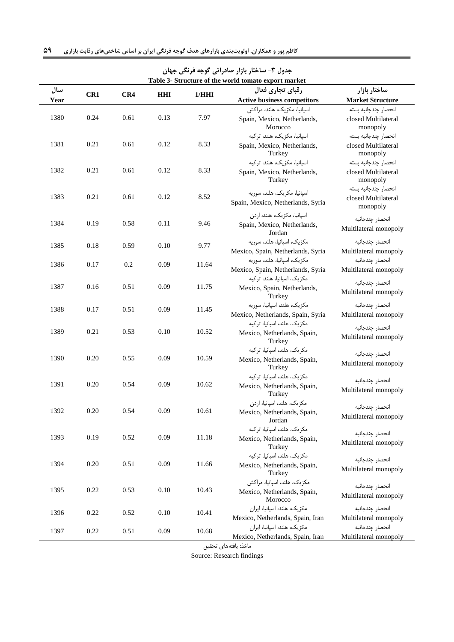| Table 3- Structure of the world tomato export market |      |      |            |       |                                                                       |                                                         |  |
|------------------------------------------------------|------|------|------------|-------|-----------------------------------------------------------------------|---------------------------------------------------------|--|
| سال                                                  | CR1  | CR4  | <b>HHI</b> | 1/HHI | رقباي تجارى فعال                                                      | ساختار بازار                                            |  |
| Year                                                 |      |      |            |       | <b>Active business competitors</b>                                    | <b>Market Structure</b>                                 |  |
|                                                      |      |      |            |       | اسیانیا، مکزیک، هلند، مراکش                                           | انحصار جندجانبه بسته                                    |  |
| 1380                                                 | 0.24 | 0.61 | 0.13       | 7.97  | Spain, Mexico, Netherlands,<br>Morocco                                | closed Multilateral<br>monopoly                         |  |
|                                                      |      |      |            |       | اسیانیا، مکزیک، هلند، ترکیه                                           | انحصار چندجانبه بسته                                    |  |
| 1381                                                 | 0.21 | 0.61 | 0.12       | 8.33  | Spain, Mexico, Netherlands,<br>Turkey                                 | closed Multilateral<br>monopoly                         |  |
| 1382                                                 | 0.21 | 0.61 | 0.12       | 8.33  | اسپانیا، مکزیک، هلند، ترکیه<br>Spain, Mexico, Netherlands,<br>Turkey  | انحصار چندجانبه بسته<br>closed Multilateral<br>monopoly |  |
| 1383                                                 | 0.21 | 0.61 | 0.12       | 8.52  | اسیانیا، مکزیک، هلند، سوریه<br>Spain, Mexico, Netherlands, Syria      | انحصار چندجانبه بسته<br>closed Multilateral<br>monopoly |  |
| 1384                                                 | 0.19 | 0.58 | 0.11       | 9.46  | اسپانیا، مکزیک، هلند، اردن<br>Spain, Mexico, Netherlands,             | انحصار چندجانبه<br>Multilateral monopoly                |  |
|                                                      |      |      |            |       | Jordan                                                                |                                                         |  |
| 1385                                                 | 0.18 | 0.59 | 0.10       | 9.77  | مكزيك، اسپانيا، هلند، سوريه<br>Mexico, Spain, Netherlands, Syria      | انحصار چندجانبه<br>Multilateral monopoly                |  |
|                                                      |      |      |            |       | مكزيك، اسپانيا، هلند، سوريه                                           | انحصار چندجانبه                                         |  |
| 1386                                                 | 0.17 | 0.2  | 0.09       | 11.64 | Mexico, Spain, Netherlands, Syria                                     | Multilateral monopoly                                   |  |
| 1387                                                 | 0.16 | 0.51 | 0.09       | 11.75 | مکزیک، اسپانیا، هلند، ترکیه<br>Mexico, Spain, Netherlands,<br>Turkey  | انحصار چندجانبه<br>Multilateral monopoly                |  |
| 1388                                                 | 0.17 | 0.51 | 0.09       | 11.45 | مكزيك، هلند، اسپانيا، سوريه<br>Mexico, Netherlands, Spain, Syria      | انحصار چندجانبه<br>Multilateral monopoly                |  |
| 1389                                                 | 0.21 | 0.53 | 0.10       | 10.52 | مکزیک، هلند، اسیانیا، ترکیه<br>Mexico, Netherlands, Spain,<br>Turkey  | انحصار چندجانبه<br>Multilateral monopoly                |  |
| 1390                                                 | 0.20 | 0.55 | 0.09       | 10.59 | مکزیک، هلند، اسپانیا، ترکیه<br>Mexico, Netherlands, Spain,<br>Turkey  | انحصار چندجانبه<br>Multilateral monopoly                |  |
| 1391                                                 | 0.20 | 0.54 | 0.09       | 10.62 | مکزیک، هلند، اسپانیا، ترکیه<br>Mexico, Netherlands, Spain,<br>Turkey  | انحصار چندجانبه<br>Multilateral monopoly                |  |
| 1392                                                 | 0.20 | 0.54 | 0.09       | 10.61 | مکزیک، هلند، اسپانیا، اردن<br>Mexico, Netherlands, Spain,<br>Jordan   | انحصار چندجانبه<br>Multilateral monopoly                |  |
| 1393                                                 | 0.19 | 0.52 | 0.09       | 11.18 | مکزیک، هلند، اسیانیا، ترکیه<br>Mexico, Netherlands, Spain,<br>Turkey  | انحصار چندجانبه<br>Multilateral monopoly                |  |
| 1394                                                 | 0.20 | 0.51 | 0.09       | 11.66 | مکزیک، هلند، اسپانیا، ترکیه<br>Mexico, Netherlands, Spain,<br>Turkey  | انحصار چندجانبه<br>Multilateral monopoly                |  |
| 1395                                                 | 0.22 | 0.53 | 0.10       | 10.43 | مکزیک، هلند، اسپانیا، مراکش<br>Mexico, Netherlands, Spain,<br>Morocco | انحصار چندجانبه<br>Multilateral monopoly                |  |
| 1396                                                 | 0.22 | 0.52 | 0.10       | 10.41 | مکزیک، هلند، اسپانیا، ایران                                           | انحصار چندجانبه                                         |  |
|                                                      |      |      |            |       | Mexico, Netherlands, Spain, Iran<br>مکزیک، هلند، اسپانیا، ایران       | Multilateral monopoly<br>انحصار چندجانبه                |  |
| 1397                                                 | 0.22 | 0.51 | 0.09       | 10.68 |                                                                       |                                                         |  |

<span id="page-10-0"></span>**جدول -8 ساختار بازار صادراتی گوجه فرنگی جهان**

Mexico, Netherlands, Spain, Iran Multilateral monopoly مارذ: یافتههای تحقی

Source: Research findings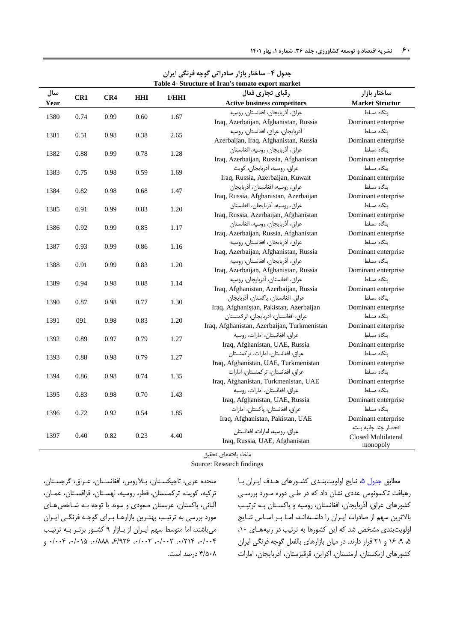| Table 4- Structure of Iran's tomato export market |      |            |       |                  |                                             |                                 |
|---------------------------------------------------|------|------------|-------|------------------|---------------------------------------------|---------------------------------|
| سال<br>CR <sub>1</sub><br>CR4                     |      | <b>HHI</b> | 1/HHI | رقباي تجارى فعال | ساختار بازار                                |                                 |
| Year                                              |      |            |       |                  | <b>Active business competitors</b>          | <b>Market Structur</b>          |
| 1380                                              | 0.74 | 0.99       | 0.60  | 1.67             | عراق، آذربايجان، افغانستان، روسيه           | بنگاه مسلط                      |
|                                                   |      |            |       |                  | Iraq, Azerbaijan, Afghanistan, Russia       | Dominant enterprise             |
| 1381                                              | 0.51 | 0.98       | 0.38  | 2.65             | آذربايجان، عراق، افغانستان، روسيه           | بنگاه مسلط                      |
|                                                   |      |            |       |                  | Azerbaijan, Iraq, Afghanistan, Russia       | Dominant enterprise             |
| 1382                                              | 0.88 | 0.99       | 0.78  | 1.28             | عراق، آذربایجان، روسیه، افغانستان           | بنگاه مسلط                      |
|                                                   |      |            |       |                  | Iraq, Azerbaijan, Russia, Afghanistan       | Dominant enterprise             |
| 1383                                              | 0.75 | 0.98       | 0.59  | 1.69             | عراق، روسيه، آذربايجان، كويت                | ىنگاە مسلط                      |
|                                                   |      |            |       |                  | Iraq, Russia, Azerbaijan, Kuwait            | Dominant enterprise             |
| 1384                                              | 0.82 | 0.98       | 0.68  | 1.47             | عراق، روسيه، افغانستان، آذربايجان           | بنگاه مسلط                      |
|                                                   |      |            |       |                  | Iraq, Russia, Afghanistan, Azerbaijan       | Dominant enterprise             |
| 1385                                              | 0.91 | 0.99       | 0.83  | 1.20             | عراق، روسيه، آذربايجان، افغانستان           | بنگاه مسلط                      |
|                                                   |      |            |       |                  | Iraq, Russia, Azerbaijan, Afghanistan       | Dominant enterprise             |
| 1386                                              | 0.92 | 0.99       | 0.85  | 1.17             | عراق، أذربايجان، روسيه، افغانستان           | بنگاه مسلط                      |
|                                                   |      |            |       |                  | Iraq, Azerbaijan, Russia, Afghanistan       | Dominant enterprise             |
| 1387                                              | 0.93 | 0.99       | 0.86  | 1.16             | عراق، أذربايجان، افغانستان، روسيه           | بنگاه مسلط                      |
|                                                   |      |            |       |                  | Iraq, Azerbaijan, Afghanistan, Russia       | Dominant enterprise             |
| 1388                                              | 0.91 | 0.99       | 0.83  | 1.20             | عراق، أذربايجان، افغانستان، روسيه           | بنگاه مسلط                      |
|                                                   |      |            |       |                  | Iraq, Azerbaijan, Afghanistan, Russia       | Dominant enterprise             |
| 1389                                              | 0.94 | 0.98       | 0.88  | 1.14             | عراق، افغانستان، آذربایجان، روسیه           | بنگاه مسلط                      |
|                                                   |      |            |       |                  | Iraq, Afghanistan, Azerbaijan, Russia       | Dominant enterprise             |
| 1390                                              | 0.87 | 0.98       | 0.77  | 1.30             | عراق، افغانستان، پاكستان، آذربايجان         | بنگاه مسلط                      |
|                                                   |      |            |       |                  | Iraq, Afghanistan, Pakistan, Azerbaijan     | Dominant enterprise             |
| 1391                                              | 091  | 0.98       | 0.83  | 1.20             | عراق، افغانستان، آذربايجان، تركمنستان       | بنگاه مسلط                      |
|                                                   |      |            |       |                  | Iraq, Afghanistan, Azerbaijan, Turkmenistan | Dominant enterprise             |
| 1392                                              | 0.89 | 0.97       | 0.79  | 1.27             | عراق، افغانستان، امارات، روسيه              | بنگاه مسلط                      |
|                                                   |      |            |       |                  | Iraq, Afghanistan, UAE, Russia              | Dominant enterprise             |
| 1393                                              | 0.88 | 0.98       | 0.79  | 1.27             | عراق، افغانستان، امارات، تركمنستان          | بنگاه مسلط                      |
|                                                   |      |            |       |                  | Iraq, Afghanistan, UAE, Turkmenistan        | Dominant enterprise             |
| 1394                                              | 0.86 | 0.98       | 0.74  | 1.35             | عراق، افغانستان، تركمنستان، امارات          | ىنگاە مسلط                      |
|                                                   |      |            |       |                  | Iraq, Afghanistan, Turkmenistan, UAE        | Dominant enterprise             |
| 1395                                              | 0.83 | 0.98       | 0.70  | 1.43             | عراق، افغانستان، امارات، روسيه              | بنگاه مسلط                      |
|                                                   |      |            |       |                  | Iraq, Afghanistan, UAE, Russia              | Dominant enterprise             |
| 1396                                              | 0.72 | 0.92       | 0.54  | 1.85             | عراق، افغانستان، پاکستان، امارات            | بنگاه مسلط                      |
|                                                   |      |            |       |                  | Iraq, Afghanistan, Pakistan, UAE            | Dominant enterprise             |
|                                                   |      |            |       |                  | عراق، روسيه، امارات، افغانستان              | انحصار چند جانبه بسته           |
| 1397                                              | 0.40 | 0.82       | 0.23  | 4.40             | Iraq, Russia, UAE, Afghanistan              | Closed Multilateral<br>monopoly |

<span id="page-11-0"></span>**جدول -4 ساختار بازار صادراتی گوجه فرنگی ایران**

ماخذ: یافتههای تحقیق

Source: Research findings

متحده عربی، تاجیکسـتان، بـلاروس، افغانسـتان، عـراق، گرجسـتان، ترکیه، کویت، ترکمنستان، قطر، روسیه، لهستان، قزاقستان، عمـان، آلبانی، پاکستان، عربستان صعودی و سوئد با توجه بـه شـاخص هـای مورد بررسی به ترتیبب بهتبریس بازارهبا ببرای گوجبه فرنگبی ایبران میباشند، اما متوسط سهم ایبران از ببازار ۹ کشبور برتبر ببه ترتیب 1/114 1/204 1/112 1/112 6/726 1/333 1/105 1/114 و 4/513 درصد است. مطابق جدول ۵، نتایج اولویتبن*ـدی* کشـورهای هـدف ایـران بـا رهیافت تاکسونومی عددی نشان داد که در طبی دوره مبورد بررسبی کشورهای عراق، آذربایجان، افغانستان، روسیه و پاکستان بـه ترتیـب بالاترین سهم از صادرات ایبران را داشتهاند، امبا ببر اسباس نتبایج اولویتبندی مشخص شد که ایس کشورها به ترتیب در رتیههبای 01 5 7 06 و 20 قرار دارند. در میان بازارهای بالفیل گوجه فرنگی ایران کشورهای ازبکستان، ارمنستان، اکراین، قرقیزستان، آذربایجان، امارات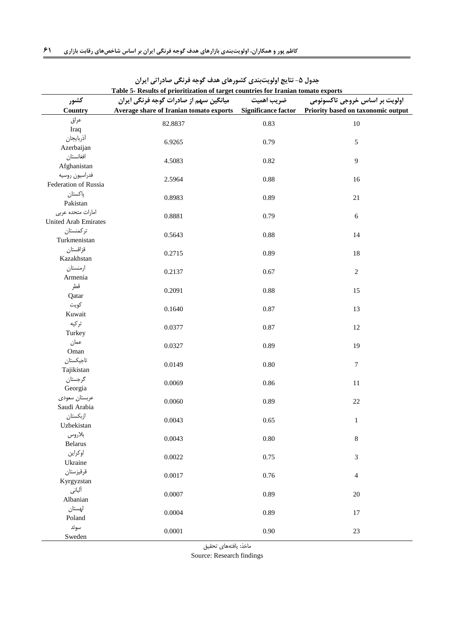| Table 5- Results of prioritization of target countries for Iranian tomato exports |                                                                                                |            |                                |  |  |  |  |
|-----------------------------------------------------------------------------------|------------------------------------------------------------------------------------------------|------------|--------------------------------|--|--|--|--|
| كشور                                                                              | میانگین سهم از صادرات گوجه فرنگی ایران                                                         | ضريب اهميت | اولویت بر اساس خروجی تاکسونومی |  |  |  |  |
| Country                                                                           | Average share of Iranian tomato exports Significance factor Priority based on taxonomic output |            |                                |  |  |  |  |
| عراق                                                                              | 82.8837                                                                                        | 0.83       | 10                             |  |  |  |  |
| Iraq                                                                              |                                                                                                |            |                                |  |  |  |  |
| أذربايجان                                                                         | 6.9265                                                                                         | 0.79       | 5                              |  |  |  |  |
| Azerbaijan<br>افغانستان                                                           |                                                                                                |            |                                |  |  |  |  |
| Afghanistan                                                                       | 4.5083                                                                                         | 0.82       | 9                              |  |  |  |  |
| فدراسيون روسيه                                                                    |                                                                                                |            |                                |  |  |  |  |
| Federation of Russia                                                              | 2.5964                                                                                         | 0.88       | 16                             |  |  |  |  |
| پاکستان                                                                           |                                                                                                |            |                                |  |  |  |  |
| Pakistan                                                                          | 0.8983                                                                                         | 0.89       | $21\,$                         |  |  |  |  |
| امارات متحده عربى                                                                 | 0.8881                                                                                         | 0.79       | 6                              |  |  |  |  |
| United Arab Emirates                                                              |                                                                                                |            |                                |  |  |  |  |
| تركمنستان                                                                         | 0.5643                                                                                         | 0.88       | 14                             |  |  |  |  |
| Turkmenistan                                                                      |                                                                                                |            |                                |  |  |  |  |
| قزاقستان                                                                          | 0.2715                                                                                         | 0.89       | 18                             |  |  |  |  |
| Kazakhstan                                                                        |                                                                                                |            |                                |  |  |  |  |
| ارمنستان                                                                          | 0.2137                                                                                         | 0.67       | $\overline{2}$                 |  |  |  |  |
| Armenia                                                                           |                                                                                                |            |                                |  |  |  |  |
| قطر                                                                               | 0.2091                                                                                         | 0.88       | 15                             |  |  |  |  |
| Qatar<br>كويت                                                                     |                                                                                                |            |                                |  |  |  |  |
| Kuwait                                                                            | 0.1640                                                                                         | 0.87       | 13                             |  |  |  |  |
| تركيه                                                                             |                                                                                                |            |                                |  |  |  |  |
| Turkey                                                                            | 0.0377                                                                                         | 0.87       | 12                             |  |  |  |  |
| عمان                                                                              |                                                                                                |            |                                |  |  |  |  |
| Oman                                                                              | 0.0327                                                                                         | 0.89       | 19                             |  |  |  |  |
| تاجيكستان                                                                         | 0.0149                                                                                         | $0.80\,$   | $\boldsymbol{7}$               |  |  |  |  |
| Tajikistan                                                                        |                                                                                                |            |                                |  |  |  |  |
| گرجستان                                                                           | 0.0069                                                                                         | 0.86       | $11\,$                         |  |  |  |  |
| Georgia                                                                           |                                                                                                |            |                                |  |  |  |  |
| عربستان سعودي                                                                     | 0.0060                                                                                         | 0.89       | $22\,$                         |  |  |  |  |
| Saudi Arabia                                                                      |                                                                                                |            |                                |  |  |  |  |
| ازبكستان                                                                          | 0.0043                                                                                         | 0.65       | $\mathbf{1}$                   |  |  |  |  |
| Uzbekistan<br>بلاروس                                                              |                                                                                                |            |                                |  |  |  |  |
| <b>Belarus</b>                                                                    | 0.0043                                                                                         | 0.80       | $\,8\,$                        |  |  |  |  |
| اوكراين                                                                           |                                                                                                |            |                                |  |  |  |  |
| Ukraine                                                                           | 0.0022                                                                                         | 0.75       | $\mathfrak{Z}$                 |  |  |  |  |
| قرقيزستان                                                                         |                                                                                                |            |                                |  |  |  |  |
| Kyrgyzstan                                                                        | 0.0017                                                                                         | 0.76       | $\overline{4}$                 |  |  |  |  |
| ألباني                                                                            | 0.0007                                                                                         | 0.89       | $20\,$                         |  |  |  |  |
| Albanian                                                                          |                                                                                                |            |                                |  |  |  |  |
| لهستان                                                                            | 0.0004                                                                                         | 0.89       | 17                             |  |  |  |  |
| Poland                                                                            |                                                                                                |            |                                |  |  |  |  |
| سوئد                                                                              | 0.0001                                                                                         | 0.90       | 23                             |  |  |  |  |
| Sweden                                                                            |                                                                                                |            |                                |  |  |  |  |

<span id="page-12-0"></span>جدول ۵- نتایج اولویتبندی کشورهای هدف گوجه فرنگی صادراتی ایران

ماخذ: یافتههای تحقیق

Source: Research findings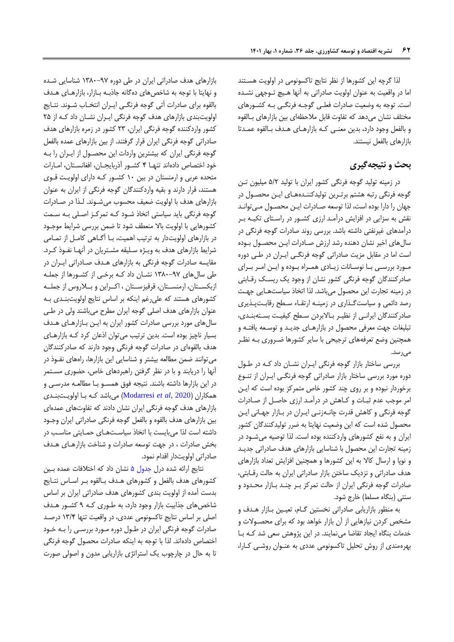لذا گرچه ایس کشورها از نظر نتایج تاکسونومی در اولویت هسبتند اما در واقییت به عنوان اولویت صادراتی به آنها هبیچ تبوجهی نشبده است. توجه به وضییت صادرات فیلبی گوجبه فرنگبی ببه کشبورهای مختلف نشان می دهد که تفاوت قابل ملاحظهای بین بازارهای بـالقوه و بالفیل وجود دارد بدیس مینبی کبه بازارهبای هبدف بب القوه عمبدتا بازارهای بالفیل نیستند.

# **بحث و نتیجهگیری**

در زمینه تولید گوجه فرنگی کشور ایران با تولید 5/2 میلیون تبس گوجه فرنگی رتبه هشتم برتـرین تولیدکننـدههـای ایـن محصـول در جهان را دارا بوده است، لذا توسعه صـادرات ایـن محصـول مـی توانـد نقش به سزایی در افزایش درآمبد ارزی کشبور در راسبتای تکیبه ببر درآمدهای غیرنفتی داشته باشد. بررسی روند صادرات گوجه فرنگی در سالهای اخیر نشان دهنده رشد ارزش صادرات ایـن محصـول بـوده است اما در مقابل مزیت صادراتی گوجه فرنگبی ایبران در طبی دوره مبورد بررسبی ببا نوسبانات زیبادی همبراه ببوده و ایبس امبر ببرای صادرکنندگان گوجه فرنگی کشور نشان از وجود یک ریسک رقـابتی در زمینه تجارت ایس محصول میباشد. لذا اتخاذ سیاستهبایی جهبت رصد دائمی و سیاست گذاری در زمینه ارتقاء سطح رقابت پذیری صادرکنندگان ایرانبی از نظیر بالابردن سطح کیفیت بستهبندی، تیلیغات جهت میرفی محصول در بازارهبای جدیبد و توسبیه یافتبه و همچنیس وضع تیرفههای ترجیحی با سایر کشورها ضبروری ببه نظبر می رسد.

بررسی ساختار بازار گوجه فرنگی ایبران نشبان داد کبه در طبول دوره مورد بررسی ساختار بازار صادراتی گوجه فرنگبی ایبران از تنبوع برخوردار نبوده و بر روی چند کشور خاص متمرکز بوده است که ایـن امر موجب عدم ثیبات و کباهش در درآمبد ارز ی حاصبل از صبادرات گوجه فرنگی و کاهش قدرت چانبه زنبی ایبران در ببازار جهبانی ایبس محصول شده است که ایس وضییت نهایتا به ضرر تولیدکنندگان کشور ایران و به نفع کشورهای واردکننده بوده است. لذا توصیه میشبود در زمینه تجارت ایس محصول با شناسایی بازارهای هدف صادراتی جدیبد و نوپا و ارسال کاال به ایس کشورها و همچنیس افزایش تیداد بازارهای هدف صادراتی و نزدیک ساختن بازار صادراتی ایران به حالت رقـابتی، صادرات گوجه فرنگی ایران از حالت تمرکز ببر چنبد ببازار محبدود و سنتی (بنگاه مسلط) خارج شود.

به منظور بازاریابی صادراتی نخستین گـام، تعیـین بـازار هـدف و مشخص کردن نیازهایی از آن بازار رواهد بود که برای محصبوالت و ردمات بنگاه ایجاد تقاضا مینمایند. در ایس پژوهش سیی شد کبه ببا بهرهمندی از روش تحلیل تاکسونومی عددی به عنبوان روشبی کبارا

بازارهای هدف صادراتی ایران در طی دوره 0831-79 شناسایی شبده و نهایتا با توجه به شاخصهای دهگانه جاذبـه بـازار، بازارهـای هـدف بالقوه برای صادرات آتی گوجه فرنگبی ایبران انتخباب شبوند. نتبایج اولویتبندی بازارهای هدف گوجه فرنگی ایبران نشبان داد کبه از 25 کشور واردکننده گوجه فرنگی ایران 28 کشور در زمره بازارهای هدف صادراتی گوجه فرنگی ایران قرار گرفتند. از بیس بازارهای عمده بالفیل گوجه فرنگی ایران که بیشتریس واردات ایس محصبول از ایبران را ببه خود اختصاص دادهاند تنها ۴ کشور آذربایجان، افغانستان، امبارات متحده عربی و ارمنستان در بیس 01 کشبور کبه دارای اولویبت قبوی هستند، قرار دارند و بقیه واردکنندگان گوجه فرنگی از ایران به عنوان بازارهای هدف با اولویت ضعیف محسوب میشـوند. لـذا در صـادرات گوجه فرنگی باید سیاستی اتخاذ شبود کبه تمرکبز اصبلی ببه سبمت کشورهایی با اولویت بالا منعطف شود تا ضمن بررسی شرایط موجـود در بازارهای اولویتدار به ترتیب اهمیت، بـا آگـاهی کامـل از تمـامی شرایط بازارهای هدف به ویبژه سبلیقه مشبتریان در آنهبا نفبوذ کبرد. مقایسه صادرات گوجه فرنگی به بازارهای هبدف صبادراتی ایبران در طی سالهای 0831-79 نشبان داد کبه برربی از کشبورها از جملبه ازبکســتان، ارمنســتان، قرقیزســتان ، اکــراین و بــلاروس از جملــه کشورهای هستند که علی رغم اینکه بر اساس نتایج اولویتبندی بـه عنوان بازارهای هدف اصلی گوجه ایران مطرح میباشند ولی در طبی سالهای مورد بررسی صادرات کشور ایران به ایبس ببازار هبای هبدف بسیار ناچیز بوده است. بدیس ترتیب میتوان اذعان کرد کبه بازارهبای هدف بالقوهای در صادرات گوجه فرنگی وجود دارند که صادرکنندگان میتوانند ضمن مطالعه بیشتر و شناسایی این بازارها، راههای نفـوذ در آنها را دریابند و با در نظر گرفتس راهیردهای راد حضوری مسبتمر در این بازارها داشته باشند. نتیجه فوق همسـو بـا مطالعـه مدرسـی و همکاران )2020 ,*al et* [Modarresi](#page-14-20) )میباشد کبه ببا اولویبت بنبدی بازارهای هدف گوجه فرنگی ایران نشان دادند که تفاوتهای عمدهای بیس بازارهای هدف بالقوه و بالفیل گوجه فرنگی صادراتی ایران وجبود داشته است لذا میبایست با اتخاذ سیاسبت هبای حمبایتی مناسبب در بخش صادرات ، در جهت توسعه صادرات و شناخت بازارهبای هبدف صادراتی اولویتدار اقدام نمود.

نتایج ارائه شده درل جدول ۵ نشان داد که اختلافات عمده بـین کشورهای هدف بالفعل و کشورهای هـدف بـالقوه بـر اسـاس نتـایج بدست آمده از اولویت بندی کشورهای هدف صادراتی ایران بر اسا شاخصهای جذابیت بازار وجود دارد، به طـوری کـه ۹ کشـور هـدف اصلی بر اساس نتایج تاکسونومی عددی، در واقعیت تنها ۱۳/۴ درصد صادرات گوجه فرنگی ایران در طـول دوره مـورد بررسـی را بــه خـود اختصاص دادهاند. لذا با توجه به اینکه صادرات محصول گوجه فرنگی تا به حال در چارچوب یک استراتژی بازاریابی مدون و اصولی صورت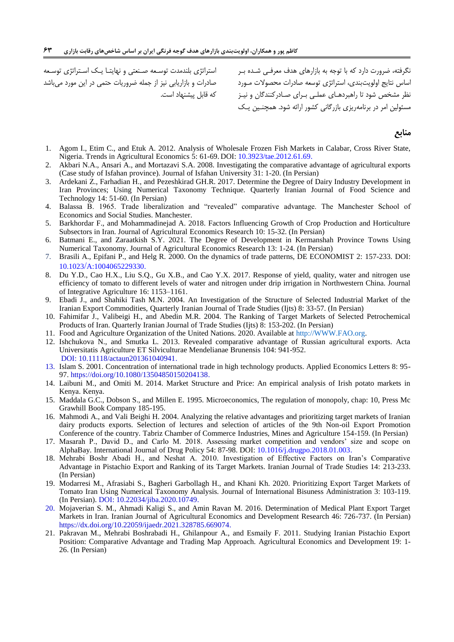استراتژی بلندمدت توسبیه صبنیتی و نهایتبا یبک اسبتراتژی توسبیه صادرات و بازاریابی نیز از جمله ضروریات حتمی در ایس مورد میباشد که قابل پیشنهاد است.

نگرفته ضرورت دارد که با توجه به بازارهای هدف میرفبی شبده ببر اساس نتایج اولویتبندی، استراتژی توسعه صادرات محصولات مبورد نظر مشخص شود تا راهیردهبای عملبی ببرای صبادرکنندگان و نیبز مسئولیس امر در برنامهریزی بازرگانی کشور ارائه شود. همچنبیس یبک

**منابع**

- <span id="page-14-9"></span>1. Agom I., Etim C., and Etuk A. 2012. Analysis of Wholesale Frozen Fish Markets in Calabar, Cross River State, Nigeria. Trends in Agricultural Economics 5: 61-69. DOI[: 10.3923/tae.2012.61.69.](https://dx.doi.org/10.3923/tae.2012.61.69)
- <span id="page-14-4"></span>2. Akbari N.A., Ansari A., and Mortazavi S.A. 2008. Investigating the comparative advantage of agricultural exports (Case study of Isfahan province). Journal of Isfahan University 31: 1-20. (In Persian)
- <span id="page-14-7"></span>3. Ardekani Z., Farhadian H., and Pezeshkirad GH.R. 2017. Determine the Degree of Dairy Industry Development in Iran Provinces; Using Numerical Taxonomy Technique. Quarterly Iranian Journal of Food Science and Technology 14: 51-60. (In Persian)
- <span id="page-14-14"></span>4. Balassa B. 1965. Trade liberalization and "revealed" comparative advantage. The Manchester School of Economics and Social Studies. Manchester.
- <span id="page-14-0"></span>5. Barkhordar F., and Mohammadinejad A. 2018. Factors Influencing Growth of Crop Production and Horticulture Subsectors in Iran. Journal of Agricultural Economics Research 10: 15-32. (In Persian)
- <span id="page-14-8"></span>6. Batmani E., and Zaraatkish S.Y. 2021. The Degree of Development in Kermanshah Province Towns Using Numerical Taxonomy. Journal of Agricultural Economics Research 13: 1-24. (In Persian)
- <span id="page-14-15"></span>7. Brasili A., Epifani P., and Helg R. 2000. On the dynamics of trade patterns, DE ECONOMIST 2: 157-233. DOI: 10.1023/A:1004065229330.
- <span id="page-14-2"></span>8. Du Y.D., Cao H.X., Liu S.Q., Gu X.B., and Cao Y.X. 2017. Response of yield, quality, water and nitrogen use efficiency of tomato to different levels of water and nitrogen under drip irrigation in Northwestern China. Journal of Integrative Agriculture 16: 1153–1161.
- <span id="page-14-16"></span>9. Ebadi J., and Shahiki Tash M.N. 2004. An Investigation of the Structure of Selected Industrial Market of the Iranian Export Commodities, Quarterly Iranian Journal of Trade Studies (Ijts) 8: 33-57. (In Persian)
- <span id="page-14-18"></span>10. Fahimifar J., Valibeigi H., and Abedin M.R. 2004. The Ranking of Target Markets of Selected Petrochemical Products of Iran. Quarterly Iranian Journal of Trade Studies (Ijts) 8: 153-202. (In Persian)
- <span id="page-14-3"></span>11. Food and Agriculture Organization of the United Nations. 2020. Available at [http://WWW.FAO.org.](http://www.fao.org/)
- <span id="page-14-10"></span>12. Ishchukova N., and Smutka L. 2013. Revealed comparative advantage of Russian agricultural exports. Acta Universitatis Agriculture ET Silviculturae Mendelianae Brunensis 104: 941-952. DOI: 10.11118/actaun201361040941.
- <span id="page-14-17"></span>13. Islam S. 2001. Concentration of international trade in high technology products. Applied Economics Letters 8: 95- 97. https://doi.org/10.1080/13504850150204138.
- <span id="page-14-11"></span>14. Laibuni M., and Omiti M. 2014. Market Structure and Price: An empirical analysis of Irish potato markets in Kenya. Kenya.
- <span id="page-14-19"></span>15. Maddala G.C., Dobson S., and Millen E. 1995. Microeconomics, The regulation of monopoly, chap: 10, Press Mc Grawhill Book Company 185-195.
- <span id="page-14-13"></span>16. Mahmodi A., and Vali Beighi H. 2004. Analyzing the relative advantages and prioritizing target markets of Iranian dairy products exports. Selection of lectures and selection of articles of the 9th Non-oil Export Promotion Conference of the country. Tabriz Chamber of Commerce Industries, Mines and Agriculture 154-159. (In Persian)
- <span id="page-14-12"></span>17. Masarah P., David D., and Carlo M. 2018. Assessing market competition and vendors' size and scope on AlphaBay. International Journal of Drug Policy 54: 87-98. DOI: [10.1016/j.drugpo.2018.01.003.](https://doi.org/10.1016/j.drugpo.2018.01.003)
- <span id="page-14-1"></span>18. Mehrabi Boshr Abadi H., and Neshat A. 2010. Investigation of Effective Factors on Iran's Comparative Advantage in Pistachio Export and Ranking of its Target Markets. Iranian Journal of Trade Studies 14: 213-233. (In Persian)
- <span id="page-14-20"></span>19. Modarresi M., Afrasiabi S., Bagheri Garbollagh H., and Khani Kh. 2020. Prioritizing Export Target Markets of Tomato Iran Using Numerical Taxonomy Analysis. Journal of International Bisuness Administration 3: 103-119. (In Persian). DOI: 10.22034/jiba.2020.10749.
- <span id="page-14-6"></span>20. Mojaverian S. M., Ahmadi Kaligi S., and Amin Ravan M. 2016. Determination of Medical Plant Export Target Markets in Iran. Iranian Journal of Agricultural Economics and Development Research 46: 726-737. (In Persian) https://dx.doi.org/10.22059/ijaedr.2021.328785.669074.
- <span id="page-14-5"></span>21. Pakravan M., Mehrabi Boshrabadi H., Ghilanpour A., and Esmaily F. 2011. Studying Iranian Pistachio Export Position: Comparative Advantage and Trading Map Approach. Agricultural Economics and Development 19: 1- 26. (In Persian)